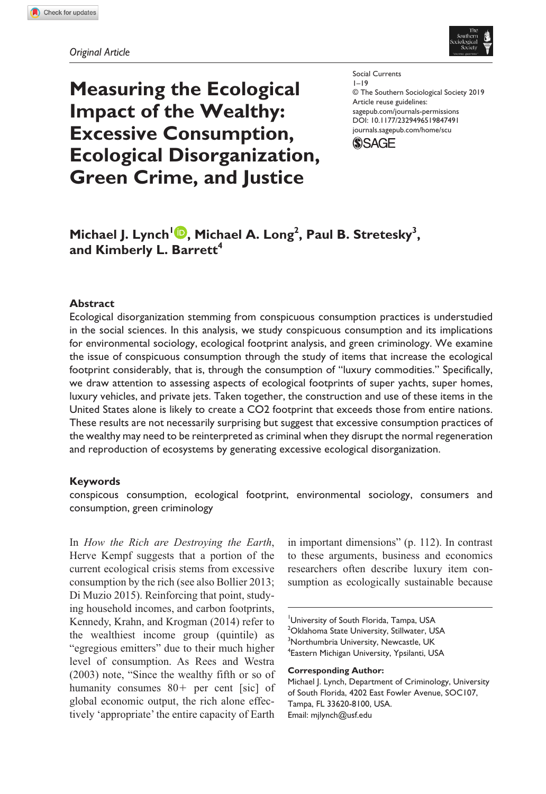

# **Measuring the Ecological Impact of the Wealthy: Excessive Consumption, Ecological Disorganization, Green Crime, and Justice**

Social Currents  $1 - 19$ © The Southern Sociological Society 2019 Article reuse guidelines: [sagepub.com/journals-permissions](https://us.sagepub.com/en-us/journals-permissions) https://doi.org/10.1177/2329496519847491 DOI: 10.1177/2329496519847491 [journals.sagepub.com/home/scu](https://journals.sagepub.com/home/scu) **(\$)SAGE** 

# **Michael J. Lynch<sup>1</sup> . Michael A. Long<sup>2</sup>, Paul B. Stretesky<sup>3</sup>,** and Kimberly L. Barrett<sup>4</sup>

### **Abstract**

Ecological disorganization stemming from conspicuous consumption practices is understudied in the social sciences. In this analysis, we study conspicuous consumption and its implications for environmental sociology, ecological footprint analysis, and green criminology. We examine the issue of conspicuous consumption through the study of items that increase the ecological footprint considerably, that is, through the consumption of "luxury commodities." Specifically, we draw attention to assessing aspects of ecological footprints of super yachts, super homes, luxury vehicles, and private jets. Taken together, the construction and use of these items in the United States alone is likely to create a CO2 footprint that exceeds those from entire nations. These results are not necessarily surprising but suggest that excessive consumption practices of the wealthy may need to be reinterpreted as criminal when they disrupt the normal regeneration and reproduction of ecosystems by generating excessive ecological disorganization.

### **Keywords**

conspicous consumption, ecological footprint, environmental sociology, consumers and consumption, green criminology

In *How the Rich are Destroying the Earth*, Herve Kempf suggests that a portion of the current ecological crisis stems from excessive consumption by the rich (see also Bollier 2013; Di Muzio 2015). Reinforcing that point, studying household incomes, and carbon footprints, Kennedy, Krahn, and Krogman (2014) refer to the wealthiest income group (quintile) as "egregious emitters" due to their much higher level of consumption. As Rees and Westra (2003) note, "Since the wealthy fifth or so of humanity consumes 80+ per cent [sic] of global economic output, the rich alone effectively 'appropriate' the entire capacity of Earth

in important dimensions" (p. 112). In contrast to these arguments, business and economics researchers often describe luxury item consumption as ecologically sustainable because

University of South Florida, Tampa, USA <sup>2</sup>Oklahoma State University, Stillwater, USA 3 Northumbria University, Newcastle, UK 4 Eastern Michigan University, Ypsilanti, USA

#### **Corresponding Author:**

Michael J. Lynch, Department of Criminology, University of South Florida, 4202 East Fowler Avenue, SOC107, Tampa, FL 33620-8100, USA. Email: [mjlynch@usf.edu](mailto:mjlynch@usf.edu)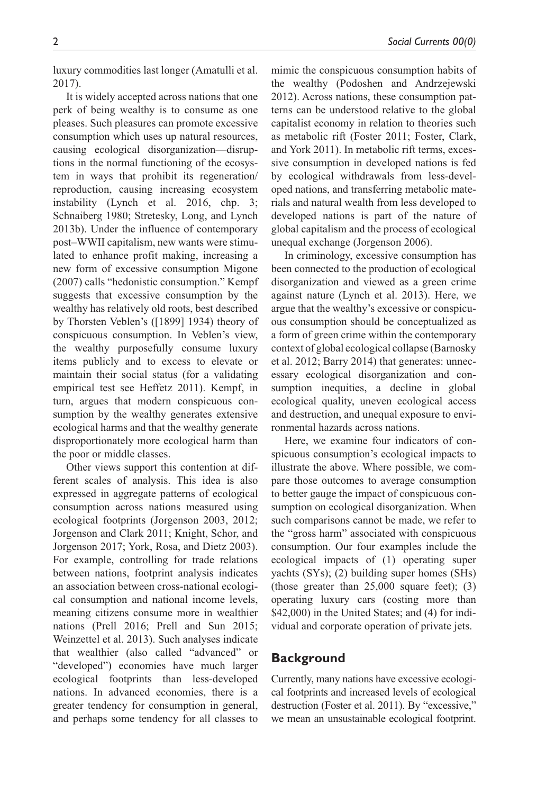luxury commodities last longer (Amatulli et al. 2017).

It is widely accepted across nations that one perk of being wealthy is to consume as one pleases. Such pleasures can promote excessive consumption which uses up natural resources, causing ecological disorganization—disruptions in the normal functioning of the ecosystem in ways that prohibit its regeneration/ reproduction, causing increasing ecosystem instability (Lynch et al. 2016, chp. 3; Schnaiberg 1980; Stretesky, Long, and Lynch 2013b). Under the influence of contemporary post–WWII capitalism, new wants were stimulated to enhance profit making, increasing a new form of excessive consumption Migone (2007) calls "hedonistic consumption." Kempf suggests that excessive consumption by the wealthy has relatively old roots, best described by Thorsten Veblen's ([1899] 1934) theory of conspicuous consumption. In Veblen's view, the wealthy purposefully consume luxury items publicly and to excess to elevate or maintain their social status (for a validating empirical test see Heffetz 2011). Kempf, in turn, argues that modern conspicuous consumption by the wealthy generates extensive ecological harms and that the wealthy generate disproportionately more ecological harm than the poor or middle classes.

Other views support this contention at different scales of analysis. This idea is also expressed in aggregate patterns of ecological consumption across nations measured using ecological footprints (Jorgenson 2003, 2012; Jorgenson and Clark 2011; Knight, Schor, and Jorgenson 2017; York, Rosa, and Dietz 2003). For example, controlling for trade relations between nations, footprint analysis indicates an association between cross-national ecological consumption and national income levels, meaning citizens consume more in wealthier nations (Prell 2016; Prell and Sun 2015; Weinzettel et al. 2013). Such analyses indicate that wealthier (also called "advanced" or "developed") economies have much larger ecological footprints than less-developed nations. In advanced economies, there is a greater tendency for consumption in general, and perhaps some tendency for all classes to

mimic the conspicuous consumption habits of the wealthy (Podoshen and Andrzejewski 2012). Across nations, these consumption patterns can be understood relative to the global capitalist economy in relation to theories such as metabolic rift (Foster 2011; Foster, Clark, and York 2011). In metabolic rift terms, excessive consumption in developed nations is fed by ecological withdrawals from less-developed nations, and transferring metabolic materials and natural wealth from less developed to developed nations is part of the nature of global capitalism and the process of ecological unequal exchange (Jorgenson 2006).

In criminology, excessive consumption has been connected to the production of ecological disorganization and viewed as a green crime against nature (Lynch et al. 2013). Here, we argue that the wealthy's excessive or conspicuous consumption should be conceptualized as a form of green crime within the contemporary context of global ecological collapse (Barnosky et al. 2012; Barry 2014) that generates: unnecessary ecological disorganization and consumption inequities, a decline in global ecological quality, uneven ecological access and destruction, and unequal exposure to environmental hazards across nations.

Here, we examine four indicators of conspicuous consumption's ecological impacts to illustrate the above. Where possible, we compare those outcomes to average consumption to better gauge the impact of conspicuous consumption on ecological disorganization. When such comparisons cannot be made, we refer to the "gross harm" associated with conspicuous consumption. Our four examples include the ecological impacts of (1) operating super yachts (SYs); (2) building super homes (SHs) (those greater than 25,000 square feet); (3) operating luxury cars (costing more than \$42,000) in the United States; and (4) for individual and corporate operation of private jets.

### **Background**

Currently, many nations have excessive ecological footprints and increased levels of ecological destruction (Foster et al. 2011). By "excessive," we mean an unsustainable ecological footprint.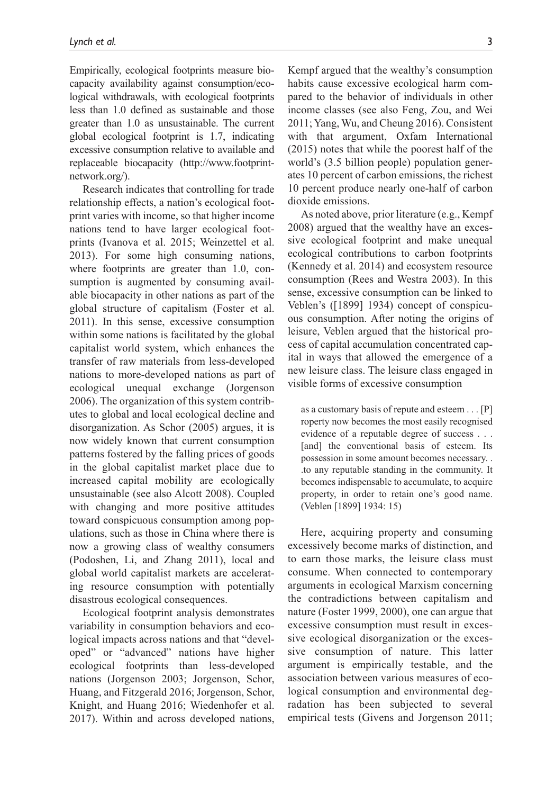Empirically, ecological footprints measure biocapacity availability against consumption/ecological withdrawals, with ecological footprints less than 1.0 defined as sustainable and those greater than 1.0 as unsustainable. The current global ecological footprint is 1.7, indicating excessive consumption relative to available and replaceable biocapacity [\(http://www.footprint](http://www.footprintnetwork.org/)[network.org/](http://www.footprintnetwork.org/)).

Research indicates that controlling for trade relationship effects, a nation's ecological footprint varies with income, so that higher income nations tend to have larger ecological footprints (Ivanova et al. 2015; Weinzettel et al. 2013). For some high consuming nations, where footprints are greater than 1.0, consumption is augmented by consuming available biocapacity in other nations as part of the global structure of capitalism (Foster et al. 2011). In this sense, excessive consumption within some nations is facilitated by the global capitalist world system, which enhances the transfer of raw materials from less-developed nations to more-developed nations as part of ecological unequal exchange (Jorgenson 2006). The organization of this system contributes to global and local ecological decline and disorganization. As Schor (2005) argues, it is now widely known that current consumption patterns fostered by the falling prices of goods in the global capitalist market place due to increased capital mobility are ecologically unsustainable (see also Alcott 2008). Coupled with changing and more positive attitudes toward conspicuous consumption among populations, such as those in China where there is now a growing class of wealthy consumers (Podoshen, Li, and Zhang 2011), local and global world capitalist markets are accelerating resource consumption with potentially disastrous ecological consequences.

Ecological footprint analysis demonstrates variability in consumption behaviors and ecological impacts across nations and that "developed" or "advanced" nations have higher ecological footprints than less-developed nations (Jorgenson 2003; Jorgenson, Schor, Huang, and Fitzgerald 2016; Jorgenson, Schor, Knight, and Huang 2016; Wiedenhofer et al. 2017). Within and across developed nations, Kempf argued that the wealthy's consumption habits cause excessive ecological harm compared to the behavior of individuals in other income classes (see also Feng, Zou, and Wei 2011; Yang, Wu, and Cheung 2016). Consistent with that argument, Oxfam International (2015) notes that while the poorest half of the world's (3.5 billion people) population generates 10 percent of carbon emissions, the richest 10 percent produce nearly one-half of carbon dioxide emissions.

As noted above, prior literature (e.g., Kempf 2008) argued that the wealthy have an excessive ecological footprint and make unequal ecological contributions to carbon footprints (Kennedy et al. 2014) and ecosystem resource consumption (Rees and Westra 2003). In this sense, excessive consumption can be linked to Veblen's ([1899] 1934) concept of conspicuous consumption. After noting the origins of leisure, Veblen argued that the historical process of capital accumulation concentrated capital in ways that allowed the emergence of a new leisure class. The leisure class engaged in visible forms of excessive consumption

as a customary basis of repute and esteem . . . [P] roperty now becomes the most easily recognised evidence of a reputable degree of success . . . [and] the conventional basis of esteem. Its possession in some amount becomes necessary. . .to any reputable standing in the community. It becomes indispensable to accumulate, to acquire property, in order to retain one's good name. (Veblen [1899] 1934: 15)

Here, acquiring property and consuming excessively become marks of distinction, and to earn those marks, the leisure class must consume. When connected to contemporary arguments in ecological Marxism concerning the contradictions between capitalism and nature (Foster 1999, 2000), one can argue that excessive consumption must result in excessive ecological disorganization or the excessive consumption of nature. This latter argument is empirically testable, and the association between various measures of ecological consumption and environmental degradation has been subjected to several empirical tests (Givens and Jorgenson 2011;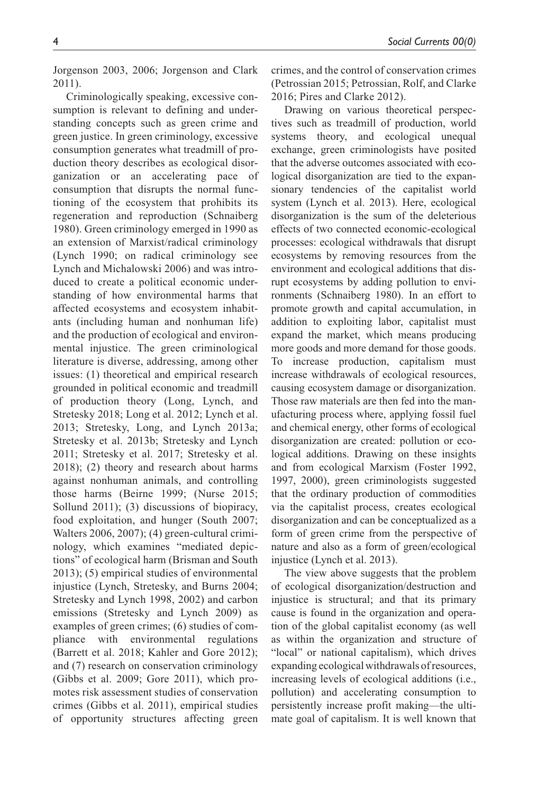Jorgenson 2003, 2006; Jorgenson and Clark 2011).

Criminologically speaking, excessive consumption is relevant to defining and understanding concepts such as green crime and green justice. In green criminology, excessive consumption generates what treadmill of production theory describes as ecological disorganization or an accelerating pace of consumption that disrupts the normal functioning of the ecosystem that prohibits its regeneration and reproduction (Schnaiberg 1980). Green criminology emerged in 1990 as an extension of Marxist/radical criminology (Lynch 1990; on radical criminology see Lynch and Michalowski 2006) and was introduced to create a political economic understanding of how environmental harms that affected ecosystems and ecosystem inhabitants (including human and nonhuman life) and the production of ecological and environmental injustice. The green criminological literature is diverse, addressing, among other issues: (1) theoretical and empirical research grounded in political economic and treadmill of production theory (Long, Lynch, and Stretesky 2018; Long et al. 2012; Lynch et al. 2013; Stretesky, Long, and Lynch 2013a; Stretesky et al. 2013b; Stretesky and Lynch 2011; Stretesky et al. 2017; Stretesky et al. 2018); (2) theory and research about harms against nonhuman animals, and controlling those harms (Beirne 1999; (Nurse 2015; Sollund 2011); (3) discussions of biopiracy, food exploitation, and hunger (South 2007; Walters 2006, 2007); (4) green-cultural criminology, which examines "mediated depictions" of ecological harm (Brisman and South 2013); (5) empirical studies of environmental injustice (Lynch, Stretesky, and Burns 2004; Stretesky and Lynch 1998, 2002) and carbon emissions (Stretesky and Lynch 2009) as examples of green crimes; (6) studies of compliance with environmental regulations (Barrett et al. 2018; Kahler and Gore 2012); and (7) research on conservation criminology (Gibbs et al. 2009; Gore 2011), which promotes risk assessment studies of conservation crimes (Gibbs et al. 2011), empirical studies of opportunity structures affecting green

crimes, and the control of conservation crimes (Petrossian 2015; Petrossian, Rolf, and Clarke 2016; Pires and Clarke 2012).

Drawing on various theoretical perspectives such as treadmill of production, world systems theory, and ecological unequal exchange, green criminologists have posited that the adverse outcomes associated with ecological disorganization are tied to the expansionary tendencies of the capitalist world system (Lynch et al. 2013). Here, ecological disorganization is the sum of the deleterious effects of two connected economic-ecological processes: ecological withdrawals that disrupt ecosystems by removing resources from the environment and ecological additions that disrupt ecosystems by adding pollution to environments (Schnaiberg 1980). In an effort to promote growth and capital accumulation, in addition to exploiting labor, capitalist must expand the market, which means producing more goods and more demand for those goods. To increase production, capitalism must increase withdrawals of ecological resources, causing ecosystem damage or disorganization. Those raw materials are then fed into the manufacturing process where, applying fossil fuel and chemical energy, other forms of ecological disorganization are created: pollution or ecological additions. Drawing on these insights and from ecological Marxism (Foster 1992, 1997, 2000), green criminologists suggested that the ordinary production of commodities via the capitalist process, creates ecological disorganization and can be conceptualized as a form of green crime from the perspective of nature and also as a form of green/ecological injustice (Lynch et al. 2013).

The view above suggests that the problem of ecological disorganization/destruction and injustice is structural; and that its primary cause is found in the organization and operation of the global capitalist economy (as well as within the organization and structure of "local" or national capitalism), which drives expanding ecological withdrawals of resources, increasing levels of ecological additions (i.e., pollution) and accelerating consumption to persistently increase profit making—the ultimate goal of capitalism. It is well known that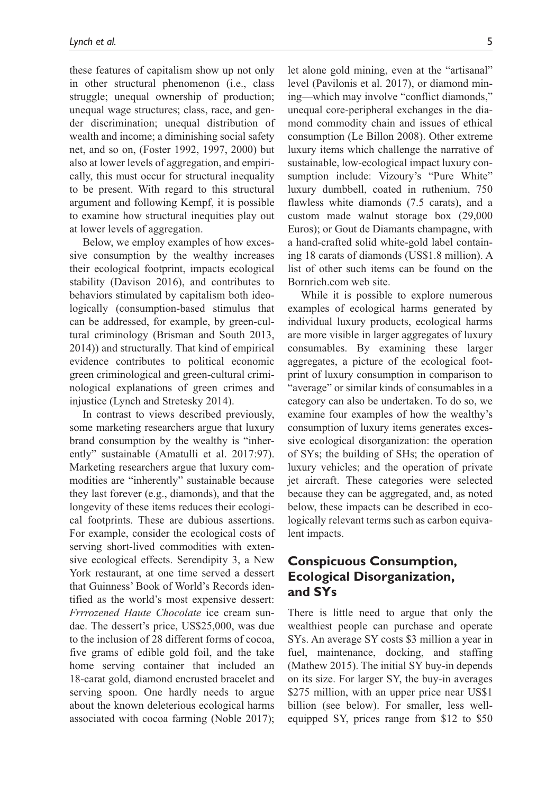these features of capitalism show up not only in other structural phenomenon (i.e., class struggle; unequal ownership of production; unequal wage structures; class, race, and gender discrimination; unequal distribution of wealth and income; a diminishing social safety net, and so on, (Foster 1992, 1997, 2000) but also at lower levels of aggregation, and empirically, this must occur for structural inequality to be present. With regard to this structural argument and following Kempf, it is possible to examine how structural inequities play out at lower levels of aggregation.

Below, we employ examples of how excessive consumption by the wealthy increases their ecological footprint, impacts ecological stability (Davison 2016), and contributes to behaviors stimulated by capitalism both ideologically (consumption-based stimulus that can be addressed, for example, by green-cultural criminology (Brisman and South 2013, 2014)) and structurally. That kind of empirical evidence contributes to political economic green criminological and green-cultural criminological explanations of green crimes and injustice (Lynch and Stretesky 2014).

In contrast to views described previously, some marketing researchers argue that luxury brand consumption by the wealthy is "inherently" sustainable (Amatulli et al. 2017:97). Marketing researchers argue that luxury commodities are "inherently" sustainable because they last forever (e.g., diamonds), and that the longevity of these items reduces their ecological footprints. These are dubious assertions. For example, consider the ecological costs of serving short-lived commodities with extensive ecological effects. Serendipity 3, a New York restaurant, at one time served a dessert that Guinness' Book of World's Records identified as the world's most expensive dessert: *Frrrozened Haute Chocolate* ice cream sundae. The dessert's price, US\$25,000, was due to the inclusion of 28 different forms of cocoa, five grams of edible gold foil, and the take home serving container that included an 18-carat gold, diamond encrusted bracelet and serving spoon. One hardly needs to argue about the known deleterious ecological harms associated with cocoa farming (Noble 2017);

let alone gold mining, even at the "artisanal" level (Pavilonis et al. 2017), or diamond mining—which may involve "conflict diamonds," unequal core-peripheral exchanges in the diamond commodity chain and issues of ethical consumption (Le Billon 2008). Other extreme luxury items which challenge the narrative of sustainable, low-ecological impact luxury consumption include: Vizoury's "Pure White" luxury dumbbell, coated in ruthenium, 750 flawless white diamonds (7.5 carats), and a custom made walnut storage box (29,000 Euros); or Gout de Diamants champagne, with a hand-crafted solid white-gold label containing 18 carats of diamonds (US\$1.8 million). A list of other such items can be found on the Bornrich.com web site.

While it is possible to explore numerous examples of ecological harms generated by individual luxury products, ecological harms are more visible in larger aggregates of luxury consumables. By examining these larger aggregates, a picture of the ecological footprint of luxury consumption in comparison to "average" or similar kinds of consumables in a category can also be undertaken. To do so, we examine four examples of how the wealthy's consumption of luxury items generates excessive ecological disorganization: the operation of SYs; the building of SHs; the operation of luxury vehicles; and the operation of private jet aircraft. These categories were selected because they can be aggregated, and, as noted below, these impacts can be described in ecologically relevant terms such as carbon equivalent impacts.

## **Conspicuous Consumption, Ecological Disorganization, and SYs**

There is little need to argue that only the wealthiest people can purchase and operate SYs. An average SY costs \$3 million a year in fuel, maintenance, docking, and staffing (Mathew 2015). The initial SY buy-in depends on its size. For larger SY, the buy-in averages \$275 million, with an upper price near US\$1 billion (see below). For smaller, less wellequipped SY, prices range from \$12 to \$50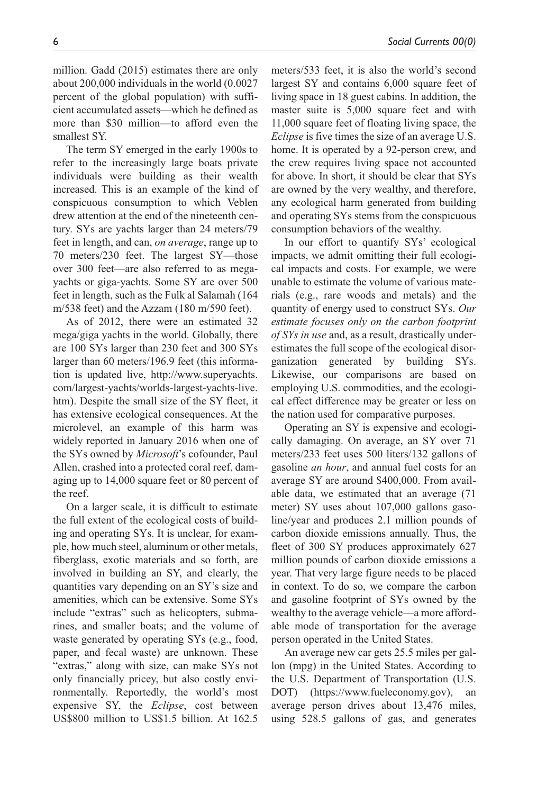million. Gadd (2015) estimates there are only about 200,000 individuals in the world (0.0027 percent of the global population) with sufficient accumulated assets—which he defined as more than \$30 million—to afford even the smallest SY.

The term SY emerged in the early 1900s to refer to the increasingly large boats private individuals were building as their wealth increased. This is an example of the kind of conspicuous consumption to which Veblen drew attention at the end of the nineteenth century. SYs are yachts larger than 24 meters/79 feet in length, and can, *on average*, range up to 70 meters/230 feet. The largest SY—those over 300 feet—are also referred to as megayachts or giga-yachts. Some SY are over 500 feet in length, such as the Fulk al Salamah (164 m/538 feet) and the Azzam (180 m/590 feet).

As of 2012, there were an estimated 32 mega/giga yachts in the world. Globally, there are 100 SYs larger than 230 feet and 300 SYs larger than 60 meters/196.9 feet (this information is updated live, [http://www.superyachts.](http://www.superyachts.com/largest-yachts/worlds-largest-yachts-live.htm) [com/largest-yachts/worlds-largest-yachts-live.](http://www.superyachts.com/largest-yachts/worlds-largest-yachts-live.htm) [htm\)](http://www.superyachts.com/largest-yachts/worlds-largest-yachts-live.htm). Despite the small size of the SY fleet, it has extensive ecological consequences. At the microlevel, an example of this harm was widely reported in January 2016 when one of the SYs owned by *Microsoft*'s cofounder, Paul Allen, crashed into a protected coral reef, damaging up to 14,000 square feet or 80 percent of the reef.

On a larger scale, it is difficult to estimate the full extent of the ecological costs of building and operating SYs. It is unclear, for example, how much steel, aluminum or other metals, fiberglass, exotic materials and so forth, are involved in building an SY, and clearly, the quantities vary depending on an SY's size and amenities, which can be extensive. Some SYs include "extras" such as helicopters, submarines, and smaller boats; and the volume of waste generated by operating SYs (e.g., food, paper, and fecal waste) are unknown. These "extras," along with size, can make SYs not only financially pricey, but also costly environmentally. Reportedly, the world's most expensive SY, the *Eclipse*, cost between US\$800 million to US\$1.5 billion. At 162.5

meters/533 feet, it is also the world's second largest SY and contains 6,000 square feet of living space in 18 guest cabins. In addition, the master suite is 5,000 square feet and with 11,000 square feet of floating living space, the *Eclipse* is five times the size of an average U.S. home. It is operated by a 92-person crew, and the crew requires living space not accounted for above. In short, it should be clear that SYs are owned by the very wealthy, and therefore, any ecological harm generated from building and operating SYs stems from the conspicuous consumption behaviors of the wealthy.

In our effort to quantify SYs' ecological impacts, we admit omitting their full ecological impacts and costs. For example, we were unable to estimate the volume of various materials (e.g., rare woods and metals) and the quantity of energy used to construct SYs. *Our estimate focuses only on the carbon footprint of SYs in use* and, as a result, drastically underestimates the full scope of the ecological disorganization generated by building SYs. Likewise, our comparisons are based on employing U.S. commodities, and the ecological effect difference may be greater or less on the nation used for comparative purposes.

Operating an SY is expensive and ecologically damaging. On average, an SY over 71 meters/233 feet uses 500 liters/132 gallons of gasoline *an hour*, and annual fuel costs for an average SY are around \$400,000. From available data, we estimated that an average (71 meter) SY uses about 107,000 gallons gasoline/year and produces 2.1 million pounds of carbon dioxide emissions annually. Thus, the fleet of 300 SY produces approximately 627 million pounds of carbon dioxide emissions a year. That very large figure needs to be placed in context. To do so, we compare the carbon and gasoline footprint of SYs owned by the wealthy to the average vehicle—a more affordable mode of transportation for the average person operated in the United States.

An average new car gets 25.5 miles per gallon (mpg) in the United States. According to the U.S. Department of Transportation (U.S. DOT) (https://www.fueleconomy.gov), average person drives about 13,476 miles, using 528.5 gallons of gas, and generates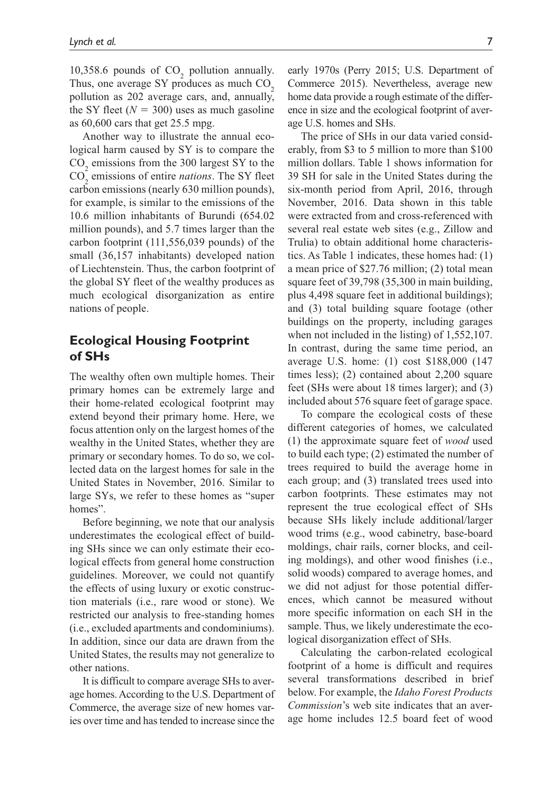10,358.6 pounds of  $CO_2$  pollution annually. Thus, one average SY produces as much  $CO<sub>2</sub>$ pollution as 202 average cars, and, annually, the SY fleet  $(N = 300)$  uses as much gasoline as 60,600 cars that get 25.5 mpg.

Another way to illustrate the annual ecological harm caused by SY is to compare the  $CO<sub>2</sub>$  emissions from the 300 largest SY to the CO2 emissions of entire *nations*. The SY fleet carbon emissions (nearly 630 million pounds), for example, is similar to the emissions of the 10.6 million inhabitants of Burundi (654.02 million pounds), and 5.7 times larger than the carbon footprint (111,556,039 pounds) of the small (36,157 inhabitants) developed nation of Liechtenstein. Thus, the carbon footprint of the global SY fleet of the wealthy produces as much ecological disorganization as entire nations of people.

### **Ecological Housing Footprint of SHs**

The wealthy often own multiple homes. Their primary homes can be extremely large and their home-related ecological footprint may extend beyond their primary home. Here, we focus attention only on the largest homes of the wealthy in the United States, whether they are primary or secondary homes. To do so, we collected data on the largest homes for sale in the United States in November, 2016. Similar to large SYs, we refer to these homes as "super homes".

Before beginning, we note that our analysis underestimates the ecological effect of building SHs since we can only estimate their ecological effects from general home construction guidelines. Moreover, we could not quantify the effects of using luxury or exotic construction materials (i.e., rare wood or stone). We restricted our analysis to free-standing homes (i.e., excluded apartments and condominiums). In addition, since our data are drawn from the United States, the results may not generalize to other nations.

It is difficult to compare average SHs to average homes. According to the U.S. Department of Commerce, the average size of new homes varies over time and has tended to increase since the

early 1970s (Perry 2015; U.S. Department of Commerce 2015). Nevertheless, average new home data provide a rough estimate of the difference in size and the ecological footprint of average U.S. homes and SHs.

The price of SHs in our data varied considerably, from \$3 to 5 million to more than \$100 million dollars. Table 1 shows information for 39 SH for sale in the United States during the six-month period from April, 2016, through November, 2016. Data shown in this table were extracted from and cross-referenced with several real estate web sites (e.g., Zillow and Trulia) to obtain additional home characteristics. As Table 1 indicates, these homes had: (1) a mean price of \$27.76 million; (2) total mean square feet of 39,798 (35,300 in main building, plus 4,498 square feet in additional buildings); and (3) total building square footage (other buildings on the property, including garages when not included in the listing) of 1,552,107. In contrast, during the same time period, an average U.S. home: (1) cost \$188,000 (147 times less); (2) contained about 2,200 square feet (SHs were about 18 times larger); and (3) included about 576 square feet of garage space.

To compare the ecological costs of these different categories of homes, we calculated (1) the approximate square feet of *wood* used to build each type; (2) estimated the number of trees required to build the average home in each group; and (3) translated trees used into carbon footprints. These estimates may not represent the true ecological effect of SHs because SHs likely include additional/larger wood trims (e.g., wood cabinetry, base-board moldings, chair rails, corner blocks, and ceiling moldings), and other wood finishes (i.e., solid woods) compared to average homes, and we did not adjust for those potential differences, which cannot be measured without more specific information on each SH in the sample. Thus, we likely underestimate the ecological disorganization effect of SHs.

Calculating the carbon-related ecological footprint of a home is difficult and requires several transformations described in brief below. For example, the *Idaho Forest Products Commission*'s web site indicates that an average home includes 12.5 board feet of wood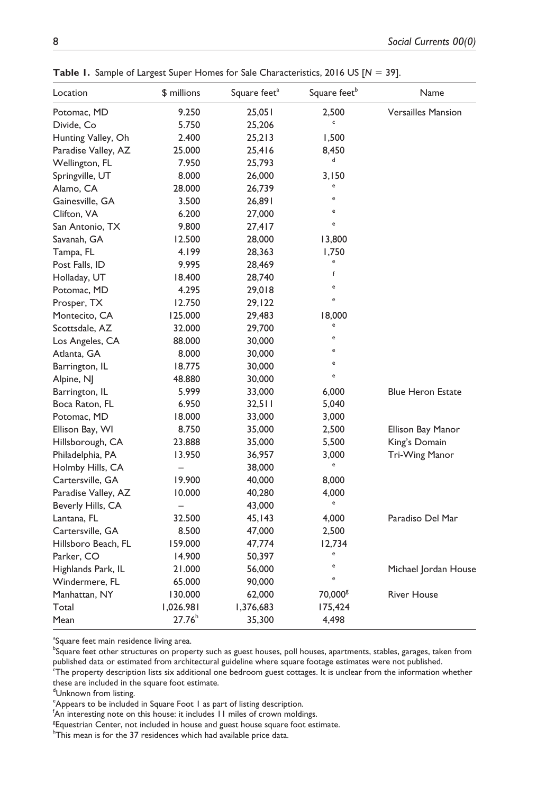| Location            | \$ millions              | Square feet <sup>a</sup> | Square feet <sup>b</sup> | Name                      |
|---------------------|--------------------------|--------------------------|--------------------------|---------------------------|
| Potomac, MD         | 9.250                    | 25,051                   | 2,500                    | <b>Versailles Mansion</b> |
| Divide, Co          | 5.750                    | 25,206                   | c                        |                           |
| Hunting Valley, Oh  | 2.400                    | 25,213                   | 1,500                    |                           |
| Paradise Valley, AZ | 25.000                   | 25,416                   | 8,450                    |                           |
| Wellington, FL      | 7.950                    | 25,793                   | d                        |                           |
| Springville, UT     | 8.000                    | 26,000                   | 3,150                    |                           |
| Alamo, CA           | 28.000                   | 26,739                   | e                        |                           |
| Gainesville, GA     | 3.500                    | 26,891                   | e                        |                           |
| Clifton, VA         | 6.200                    | 27,000                   | e                        |                           |
| San Antonio, TX     | 9.800                    | 27,417                   | e                        |                           |
| Savanah, GA         | 12.500                   | 28,000                   | 13,800                   |                           |
| Tampa, FL           | 4.199                    | 28,363                   | 1,750                    |                           |
| Post Falls, ID      | 9.995                    | 28,469                   | e                        |                           |
| Holladay, UT        | 18.400                   | 28,740                   | f                        |                           |
| Potomac, MD         | 4.295                    | 29,018                   | e                        |                           |
| Prosper, TX         | 12.750                   | 29,122                   | e                        |                           |
| Montecito, CA       | 125.000                  | 29,483                   | 18,000                   |                           |
| Scottsdale, AZ      | 32.000                   | 29,700                   | e                        |                           |
| Los Angeles, CA     | 88.000                   | 30,000                   | e                        |                           |
| Atlanta, GA         | 8.000                    | 30,000                   | e                        |                           |
| Barrington, IL      | 18.775                   | 30,000                   | e                        |                           |
| Alpine, NJ          | 48.880                   | 30,000                   | e                        |                           |
| Barrington, IL      | 5.999                    | 33,000                   | 6,000                    | <b>Blue Heron Estate</b>  |
| Boca Raton, FL      | 6.950                    | 32,511                   | 5,040                    |                           |
| Potomac, MD         | 18.000                   | 33,000                   | 3,000                    |                           |
| Ellison Bay, WI     | 8.750                    | 35,000                   | 2,500                    | Ellison Bay Manor         |
| Hillsborough, CA    | 23.888                   | 35,000                   | 5,500                    | King's Domain             |
| Philadelphia, PA    | 13.950                   | 36,957                   | 3,000                    | Tri-Wing Manor            |
| Holmby Hills, CA    | $\overline{\phantom{0}}$ | 38,000                   | e                        |                           |
| Cartersville, GA    | 19.900                   | 40,000                   | 8,000                    |                           |
| Paradise Valley, AZ | 10.000                   | 40,280                   | 4,000                    |                           |
| Beverly Hills, CA   | $\overline{\phantom{0}}$ | 43,000                   | e                        |                           |
| Lantana, FL         | 32.500                   | 45,143                   | 4,000                    | Paradiso Del Mar          |
| Cartersville, GA    | 8.500                    | 47,000                   | 2,500                    |                           |
| Hillsboro Beach, FL | 159.000                  | 47,774                   | 12,734                   |                           |
| Parker, CO          | 14.900                   | 50,397                   | e                        |                           |
| Highlands Park, IL  | 21.000                   | 56,000                   | e                        | Michael Jordan House      |
| Windermere, FL      | 65.000                   | 90,000                   | e                        |                           |
| Manhattan, NY       | 130.000                  | 62,000                   | 70,000 <sup>g</sup>      | <b>River House</b>        |
| Total               | 1,026.981                | 1,376,683                | 175,424                  |                           |
| Mean                | 27.76 <sup>h</sup>       | 35,300                   | 4,498                    |                           |
|                     |                          |                          |                          |                           |

**Table 1.** Sample of Largest Super Homes for Sale Characteristics, 2016 US [*N* = 39].

<sup>a</sup>Square feet main residence living area.

**bSquare feet other structures on property such as guest houses, poll houses, apartments, stables, garages, taken from** published data or estimated from architectural guideline where square footage estimates were not published.<br><sup>c</sup>The property description lists six additional one bedroom guest cottages. It is unclear from the information wh

these are included in the square foot estimate.

dUnknown from listing.

<sup>g</sup>Equestrian Center, not included in house and guest house square foot estimate.

<sup>&</sup>lt;sup>e</sup> Appears to be included in Square Foot 1 as part of listing description.

<sup>&</sup>lt;sup>f</sup>An interesting note on this house: it includes 11 miles of crown moldings.

 $^{\circ}$ This mean is for the 37 residences which had available price data.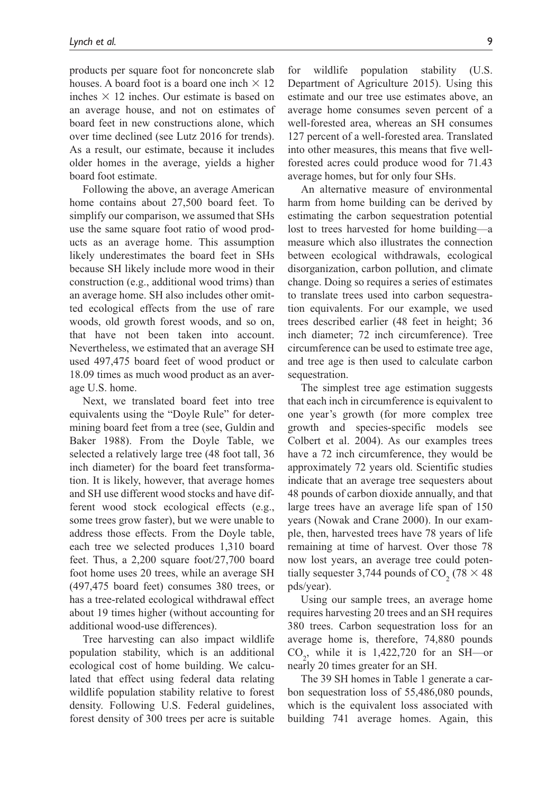products per square foot for nonconcrete slab houses. A board foot is a board one inch  $\times$  12 inches  $\times$  12 inches. Our estimate is based on an average house, and not on estimates of board feet in new constructions alone, which over time declined (see Lutz 2016 for trends). As a result, our estimate, because it includes older homes in the average, yields a higher board foot estimate.

Following the above, an average American home contains about 27,500 board feet. To simplify our comparison, we assumed that SHs use the same square foot ratio of wood products as an average home. This assumption likely underestimates the board feet in SHs because SH likely include more wood in their construction (e.g., additional wood trims) than an average home. SH also includes other omitted ecological effects from the use of rare woods, old growth forest woods, and so on, that have not been taken into account. Nevertheless, we estimated that an average SH used 497,475 board feet of wood product or 18.09 times as much wood product as an average U.S. home.

Next, we translated board feet into tree equivalents using the "Doyle Rule" for determining board feet from a tree (see, Guldin and Baker 1988). From the Doyle Table, we selected a relatively large tree (48 foot tall, 36 inch diameter) for the board feet transformation. It is likely, however, that average homes and SH use different wood stocks and have different wood stock ecological effects (e.g., some trees grow faster), but we were unable to address those effects. From the Doyle table, each tree we selected produces 1,310 board feet. Thus, a 2,200 square foot/27,700 board foot home uses 20 trees, while an average SH (497,475 board feet) consumes 380 trees, or has a tree-related ecological withdrawal effect about 19 times higher (without accounting for additional wood-use differences).

Tree harvesting can also impact wildlife population stability, which is an additional ecological cost of home building. We calculated that effect using federal data relating wildlife population stability relative to forest density. Following U.S. Federal guidelines, forest density of 300 trees per acre is suitable for wildlife population stability (U.S. Department of Agriculture 2015). Using this estimate and our tree use estimates above, an average home consumes seven percent of a well-forested area, whereas an SH consumes 127 percent of a well-forested area. Translated into other measures, this means that five wellforested acres could produce wood for 71.43 average homes, but for only four SHs.

An alternative measure of environmental harm from home building can be derived by estimating the carbon sequestration potential lost to trees harvested for home building—a measure which also illustrates the connection between ecological withdrawals, ecological disorganization, carbon pollution, and climate change. Doing so requires a series of estimates to translate trees used into carbon sequestration equivalents. For our example, we used trees described earlier (48 feet in height; 36 inch diameter; 72 inch circumference). Tree circumference can be used to estimate tree age, and tree age is then used to calculate carbon sequestration.

The simplest tree age estimation suggests that each inch in circumference is equivalent to one year's growth (for more complex tree growth and species-specific models see Colbert et al. 2004). As our examples trees have a 72 inch circumference, they would be approximately 72 years old. Scientific studies indicate that an average tree sequesters about 48 pounds of carbon dioxide annually, and that large trees have an average life span of 150 years (Nowak and Crane 2000). In our example, then, harvested trees have 78 years of life remaining at time of harvest. Over those 78 now lost years, an average tree could potentially sequester 3,744 pounds of  $CO_2$  (78  $\times$  48) pds/year).

Using our sample trees, an average home requires harvesting 20 trees and an SH requires 380 trees. Carbon sequestration loss for an average home is, therefore, 74,880 pounds  $CO<sub>2</sub>$ , while it is 1,422,720 for an SH—or nearly 20 times greater for an SH.

The 39 SH homes in Table 1 generate a carbon sequestration loss of 55,486,080 pounds, which is the equivalent loss associated with building 741 average homes. Again, this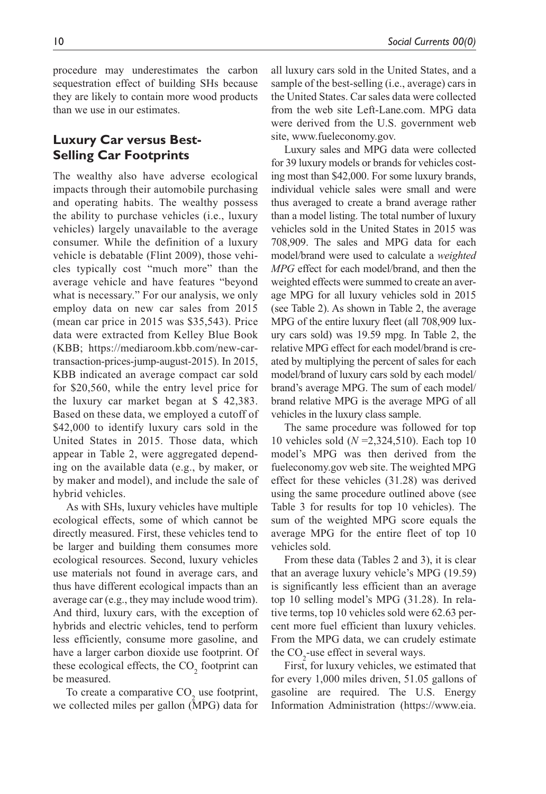procedure may underestimates the carbon sequestration effect of building SHs because they are likely to contain more wood products than we use in our estimates.

## **Luxury Car versus Best-Selling Car Footprints**

The wealthy also have adverse ecological impacts through their automobile purchasing and operating habits. The wealthy possess the ability to purchase vehicles (i.e., luxury vehicles) largely unavailable to the average consumer. While the definition of a luxury vehicle is debatable (Flint 2009), those vehicles typically cost "much more" than the average vehicle and have features "beyond what is necessary." For our analysis, we only employ data on new car sales from 2015 (mean car price in 2015 was \$35,543). Price data were extracted from Kelley Blue Book (KBB; [https://mediaroom.kbb.com/new-car](https://mediaroom.kbb.com/new-car-transaction-prices-jump-august-2015)[transaction-prices-jump-august-2015](https://mediaroom.kbb.com/new-car-transaction-prices-jump-august-2015)). In 2015, KBB indicated an average compact car sold for \$20,560, while the entry level price for the luxury car market began at \$ 42,383. Based on these data, we employed a cutoff of \$42,000 to identify luxury cars sold in the United States in 2015. Those data, which appear in Table 2, were aggregated depending on the available data (e.g., by maker, or by maker and model), and include the sale of hybrid vehicles.

As with SHs, luxury vehicles have multiple ecological effects, some of which cannot be directly measured. First, these vehicles tend to be larger and building them consumes more ecological resources. Second, luxury vehicles use materials not found in average cars, and thus have different ecological impacts than an average car (e.g., they may include wood trim). And third, luxury cars, with the exception of hybrids and electric vehicles, tend to perform less efficiently, consume more gasoline, and have a larger carbon dioxide use footprint. Of these ecological effects, the  $CO_2$  footprint can be measured.

To create a comparative  $CO_2$  use footprint, we collected miles per gallon (MPG) data for

all luxury cars sold in the United States, and a sample of the best-selling (i.e., average) cars in the United States. Car sales data were collected from the web site Left-Lane.com. MPG data were derived from the U.S. government web site, [www.fueleconomy.gov.](www.fueleconomy.gov)

Luxury sales and MPG data were collected for 39 luxury models or brands for vehicles costing most than \$42,000. For some luxury brands, individual vehicle sales were small and were thus averaged to create a brand average rather than a model listing. The total number of luxury vehicles sold in the United States in 2015 was 708,909. The sales and MPG data for each model/brand were used to calculate a *weighted MPG* effect for each model/brand, and then the weighted effects were summed to create an average MPG for all luxury vehicles sold in 2015 (see Table 2). As shown in Table 2, the average MPG of the entire luxury fleet (all 708,909 luxury cars sold) was 19.59 mpg. In Table 2, the relative MPG effect for each model/brand is created by multiplying the percent of sales for each model/brand of luxury cars sold by each model/ brand's average MPG. The sum of each model/ brand relative MPG is the average MPG of all vehicles in the luxury class sample.

The same procedure was followed for top 10 vehicles sold (*N* =2,324,510). Each top 10 model's MPG was then derived from the fueleconomy.gov web site. The weighted MPG effect for these vehicles (31.28) was derived using the same procedure outlined above (see Table 3 for results for top 10 vehicles). The sum of the weighted MPG score equals the average MPG for the entire fleet of top 10 vehicles sold.

From these data (Tables 2 and 3), it is clear that an average luxury vehicle's MPG (19.59) is significantly less efficient than an average top 10 selling model's MPG (31.28). In relative terms, top 10 vehicles sold were 62.63 percent more fuel efficient than luxury vehicles. From the MPG data, we can crudely estimate the  $CO_2$ -use effect in several ways.

First, for luxury vehicles, we estimated that for every 1,000 miles driven, 51.05 gallons of gasoline are required. The U.S. Energy Information Administration ([https://www.eia.](https://www.eia.gov/tools/faqs/faq.php?id=307&t=11)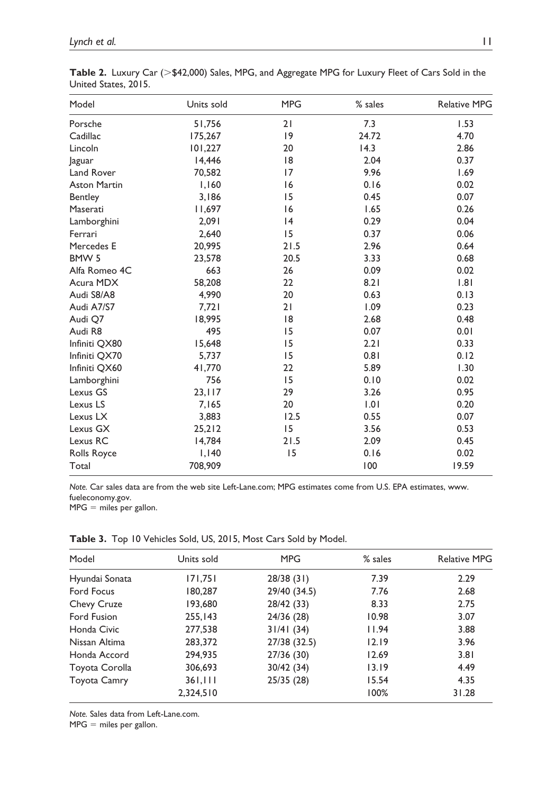| Model               | Units sold | <b>MPG</b> | % sales | Relative MPG |
|---------------------|------------|------------|---------|--------------|
| Porsche             | 51,756     | 21         | 7.3     | 1.53         |
| Cadillac            | 175,267    | 9          | 24.72   | 4.70         |
| Lincoln             | 101,227    | 20         | 14.3    | 2.86         |
| Jaguar              | 14,446     | 8          | 2.04    | 0.37         |
| Land Rover          | 70,582     | 17         | 9.96    | 1.69         |
| <b>Aston Martin</b> | 1,160      | 16         | 0.16    | 0.02         |
| Bentley             | 3,186      | 15         | 0.45    | 0.07         |
| Maserati            | 11,697     | 16         | 1.65    | 0.26         |
| Lamborghini         | 2,091      | 4          | 0.29    | 0.04         |
| Ferrari             | 2,640      | 15         | 0.37    | 0.06         |
| Mercedes E          | 20,995     | 21.5       | 2.96    | 0.64         |
| BMW <sub>5</sub>    | 23,578     | 20.5       | 3.33    | 0.68         |
| Alfa Romeo 4C       | 663        | 26         | 0.09    | 0.02         |
| Acura MDX           | 58,208     | 22         | 8.21    | .8           |
| Audi S8/A8          | 4.990      | 20         | 0.63    | 0.13         |
| Audi A7/S7          | 7,721      | 21         | 1.09    | 0.23         |
| Audi Q7             | 18,995     | 18         | 2.68    | 0.48         |
| Audi R8             | 495        | 15         | 0.07    | 0.01         |
| Infiniti QX80       | 15,648     | 15         | 2.21    | 0.33         |
| Infiniti QX70       | 5,737      | 15         | 0.81    | 0.12         |
| Infiniti QX60       | 41,770     | 22         | 5.89    | 1.30         |
| Lamborghini         | 756        | 15         | 0.10    | 0.02         |
| Lexus GS            | 23,117     | 29         | 3.26    | 0.95         |
| Lexus LS            | 7,165      | 20         | 1.01    | 0.20         |
| Lexus LX            | 3,883      | 12.5       | 0.55    | 0.07         |
| Lexus GX            | 25,212     | 15         | 3.56    | 0.53         |
| Lexus RC            | 14,784     | 21.5       | 2.09    | 0.45         |
| Rolls Royce         | 1,140      | 15         | 0.16    | 0.02         |
| Total               | 708,909    |            | 100     | 19.59        |

**Table 2.** Luxury Car (>\$42,000) Sales, MPG, and Aggregate MPG for Luxury Fleet of Cars Sold in the United States, 2015.

*Note.* Car sales data are from the web site Left-Lane.com; MPG estimates come from U.S. EPA estimates, [www.](www.fueleconomy.gov) [fueleconomy.gov.](www.fueleconomy.gov)

 $MPG =$  miles per gallon.

| Model               | Units sold | <b>MPG</b>   | % sales | <b>Relative MPG</b> |
|---------------------|------------|--------------|---------|---------------------|
| Hyundai Sonata      | 171,751    | 28/38(31)    | 7.39    | 2.29                |
| Ford Focus          | 180,287    | 29/40 (34.5) | 7.76    | 2.68                |
| Chevy Cruze         | 193,680    | 28/42 (33)   | 8.33    | 2.75                |
| Ford Fusion         | 255,143    | 24/36 (28)   | 10.98   | 3.07                |
| Honda Civic         | 277,538    | 31/41(34)    | 11.94   | 3.88                |
| Nissan Altima       | 283,372    | 27/38 (32.5) | 12.19   | 3.96                |
| Honda Accord        | 294,935    | 27/36 (30)   | 12.69   | 3.81                |
| Toyota Corolla      | 306,693    | 30/42(34)    | 13.19   | 4.49                |
| <b>Toyota Camry</b> | 361,111    | 25/35(28)    | 15.54   | 4.35                |
|                     | 2,324,510  |              | 100%    | 31.28               |

**Table 3.** Top 10 Vehicles Sold, US, 2015, Most Cars Sold by Model.

*Note.* Sales data from Left-Lane.com.

 $MPG =$  miles per gallon.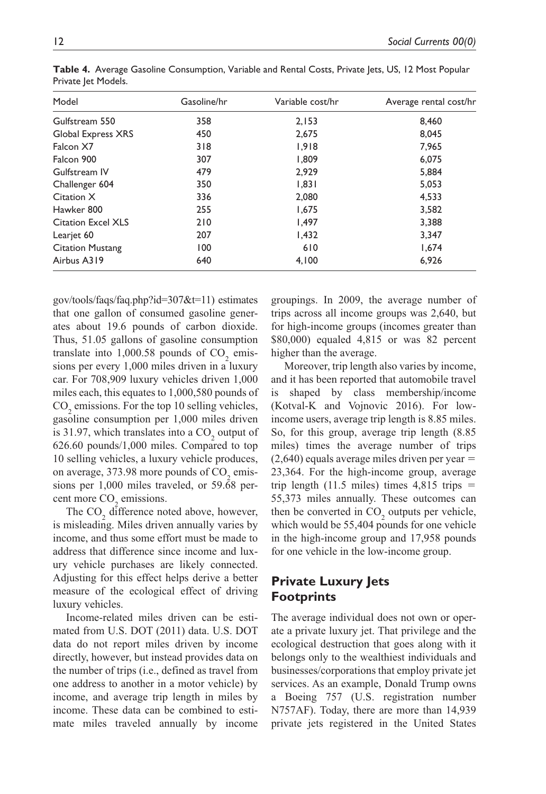| Model                     | Gasoline/hr | Variable cost/hr | Average rental cost/hr |
|---------------------------|-------------|------------------|------------------------|
| Gulfstream 550            | 358         | 2.153            | 8.460                  |
| Global Express XRS        | 450         | 2.675            | 8,045                  |
| Falcon X7                 | 318         | 1,918            | 7.965                  |
| Falcon 900                | 307         | 1.809            | 6,075                  |
| Gulfstream IV             | 479         | 2.929            | 5,884                  |
| Challenger 604            | 350         | 1.831            | 5,053                  |
| Citation X                | 336         | 2.080            | 4.533                  |
| Hawker 800                | 255         | 1,675            | 3,582                  |
| <b>Citation Excel XLS</b> | 210         | 1.497            | 3.388                  |
| Learjet 60                | 207         | 1,432            | 3,347                  |
| <b>Citation Mustang</b>   | 100         | 610              | 1.674                  |
| Airbus A319               | 640         | 4,100            | 6,926                  |

**Table 4.** Average Gasoline Consumption, Variable and Rental Costs, Private Jets, US, 12 Most Popular Private Jet Models.

[gov/tools/faqs/faq.php?id=307&t=11\)](https://www.eia.gov/tools/faqs/faq.php?id=307&t=11) estimates that one gallon of consumed gasoline generates about 19.6 pounds of carbon dioxide. Thus, 51.05 gallons of gasoline consumption translate into  $1,000.58$  pounds of  $CO<sub>2</sub>$  emissions per every 1,000 miles driven in a luxury car. For 708,909 luxury vehicles driven 1,000 miles each, this equates to 1,000,580 pounds of  $CO<sub>2</sub>$  emissions. For the top 10 selling vehicles, gasoline consumption per 1,000 miles driven is 31.97, which translates into a  $CO<sub>2</sub>$  output of 626.60 pounds/1,000 miles. Compared to top 10 selling vehicles, a luxury vehicle produces, on average,  $373.98$  more pounds of  $CO<sub>2</sub>$  emissions per 1,000 miles traveled, or 59.68 percent more  $CO<sub>2</sub>$  emissions.

The  $CO<sub>2</sub>$  difference noted above, however, is misleading. Miles driven annually varies by income, and thus some effort must be made to address that difference since income and luxury vehicle purchases are likely connected. Adjusting for this effect helps derive a better measure of the ecological effect of driving luxury vehicles.

Income-related miles driven can be estimated from U.S. DOT (2011) data. U.S. DOT data do not report miles driven by income directly, however, but instead provides data on the number of trips (i.e., defined as travel from one address to another in a motor vehicle) by income, and average trip length in miles by income. These data can be combined to estimate miles traveled annually by income

groupings. In 2009, the average number of trips across all income groups was 2,640, but for high-income groups (incomes greater than \$80,000) equaled 4,815 or was 82 percent higher than the average.

Moreover, trip length also varies by income, and it has been reported that automobile travel is shaped by class membership/income (Kotval-K and Vojnovic 2016). For lowincome users, average trip length is 8.85 miles. So, for this group, average trip length (8.85 miles) times the average number of trips  $(2,640)$  equals average miles driven per year  $=$ 23,364. For the high-income group, average trip length (11.5 miles) times  $4,815$  trips  $=$ 55,373 miles annually. These outcomes can then be converted in  $CO_2$  outputs per vehicle, which would be 55,404 pounds for one vehicle in the high-income group and 17,958 pounds for one vehicle in the low-income group.

### **Private Luxury Jets Footprints**

The average individual does not own or operate a private luxury jet. That privilege and the ecological destruction that goes along with it belongs only to the wealthiest individuals and businesses/corporations that employ private jet services. As an example, Donald Trump owns a Boeing 757 (U.S. registration number N757AF). Today, there are more than 14,939 private jets registered in the United States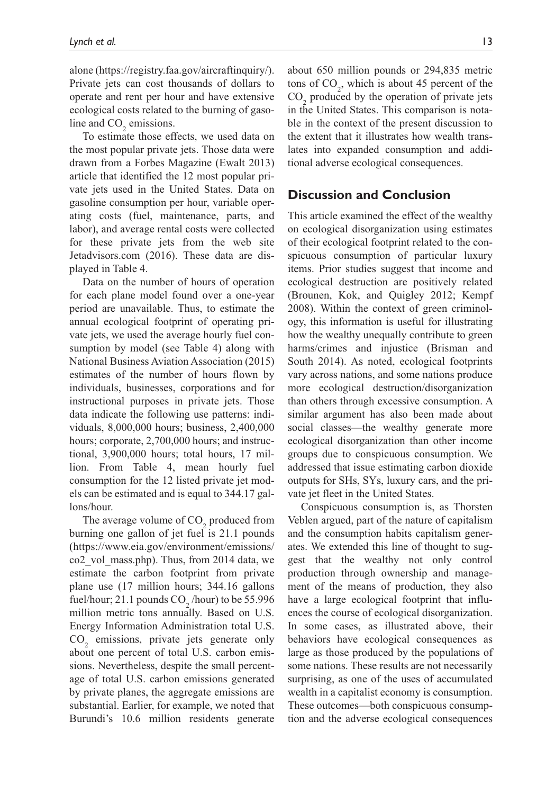alone (https://registry.faa.gov/aircraftinquiry/). Private jets can cost thousands of dollars to operate and rent per hour and have extensive ecological costs related to the burning of gasoline and  $CO<sub>2</sub>$  emissions.

To estimate those effects, we used data on the most popular private jets. Those data were drawn from a Forbes Magazine (Ewalt 2013) article that identified the 12 most popular private jets used in the United States. Data on gasoline consumption per hour, variable operating costs (fuel, maintenance, parts, and labor), and average rental costs were collected for these private jets from the web site Jetadvisors.com (2016). These data are displayed in Table 4.

Data on the number of hours of operation for each plane model found over a one-year period are unavailable. Thus, to estimate the annual ecological footprint of operating private jets, we used the average hourly fuel consumption by model (see Table 4) along with National Business Aviation Association (2015) estimates of the number of hours flown by individuals, businesses, corporations and for instructional purposes in private jets. Those data indicate the following use patterns: individuals, 8,000,000 hours; business, 2,400,000 hours; corporate, 2,700,000 hours; and instructional, 3,900,000 hours; total hours, 17 million. From Table 4, mean hourly fuel consumption for the 12 listed private jet models can be estimated and is equal to 344.17 gallons/hour.

The average volume of  $CO_2$  produced from burning one gallon of jet fuel is 21.1 pounds [\(https://www.eia.gov/environment/emissions/](https://www.eia.gov/environment/emissions/co2_vol_mass.php) [co2\\_vol\\_mass.php\)](https://www.eia.gov/environment/emissions/co2_vol_mass.php). Thus, from 2014 data, we estimate the carbon footprint from private plane use (17 million hours; 344.16 gallons fuel/hour; 21.1 pounds  $CO_2$ /hour) to be 55.996 million metric tons annually. Based on U.S. Energy Information Administration total U.S.  $CO<sub>2</sub>$  emissions, private jets generate only about one percent of total U.S. carbon emissions. Nevertheless, despite the small percentage of total U.S. carbon emissions generated by private planes, the aggregate emissions are substantial. Earlier, for example, we noted that Burundi's 10.6 million residents generate

about 650 million pounds or 294,835 metric tons of  $CO<sub>2</sub>$ , which is about 45 percent of the  $\text{CO}_2$  produced by the operation of private jets in the United States. This comparison is notable in the context of the present discussion to the extent that it illustrates how wealth translates into expanded consumption and additional adverse ecological consequences.

### **Discussion and Conclusion**

This article examined the effect of the wealthy on ecological disorganization using estimates of their ecological footprint related to the conspicuous consumption of particular luxury items. Prior studies suggest that income and ecological destruction are positively related (Brounen, Kok, and Quigley 2012; Kempf 2008). Within the context of green criminology, this information is useful for illustrating how the wealthy unequally contribute to green harms/crimes and injustice (Brisman and South 2014). As noted, ecological footprints vary across nations, and some nations produce more ecological destruction/disorganization than others through excessive consumption. A similar argument has also been made about social classes—the wealthy generate more ecological disorganization than other income groups due to conspicuous consumption. We addressed that issue estimating carbon dioxide outputs for SHs, SYs, luxury cars, and the private jet fleet in the United States.

Conspicuous consumption is, as Thorsten Veblen argued, part of the nature of capitalism and the consumption habits capitalism generates. We extended this line of thought to suggest that the wealthy not only control production through ownership and management of the means of production, they also have a large ecological footprint that influences the course of ecological disorganization. In some cases, as illustrated above, their behaviors have ecological consequences as large as those produced by the populations of some nations. These results are not necessarily surprising, as one of the uses of accumulated wealth in a capitalist economy is consumption. These outcomes—both conspicuous consumption and the adverse ecological consequences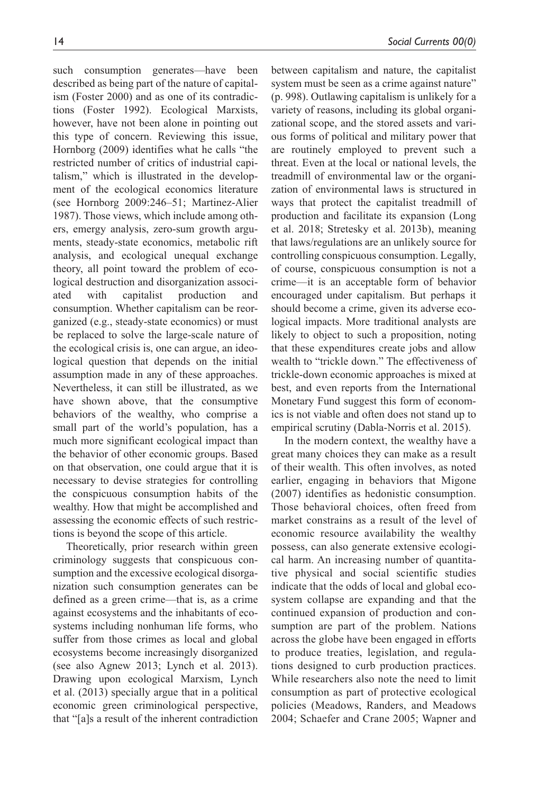such consumption generates—have been described as being part of the nature of capitalism (Foster 2000) and as one of its contradictions (Foster 1992). Ecological Marxists, however, have not been alone in pointing out this type of concern. Reviewing this issue, Hornborg (2009) identifies what he calls "the restricted number of critics of industrial capitalism," which is illustrated in the development of the ecological economics literature (see Hornborg 2009:246–51; Martinez-Alier 1987). Those views, which include among others, emergy analysis, zero-sum growth arguments, steady-state economics, metabolic rift analysis, and ecological unequal exchange theory, all point toward the problem of ecological destruction and disorganization associated with capitalist production and consumption. Whether capitalism can be reorganized (e.g., steady-state economics) or must be replaced to solve the large-scale nature of the ecological crisis is, one can argue, an ideological question that depends on the initial assumption made in any of these approaches. Nevertheless, it can still be illustrated, as we have shown above, that the consumptive behaviors of the wealthy, who comprise a small part of the world's population, has a much more significant ecological impact than the behavior of other economic groups. Based on that observation, one could argue that it is necessary to devise strategies for controlling the conspicuous consumption habits of the wealthy. How that might be accomplished and assessing the economic effects of such restrictions is beyond the scope of this article.

Theoretically, prior research within green criminology suggests that conspicuous consumption and the excessive ecological disorganization such consumption generates can be defined as a green crime—that is, as a crime against ecosystems and the inhabitants of ecosystems including nonhuman life forms, who suffer from those crimes as local and global ecosystems become increasingly disorganized (see also Agnew 2013; Lynch et al. 2013). Drawing upon ecological Marxism, Lynch et al. (2013) specially argue that in a political economic green criminological perspective, that "[a]s a result of the inherent contradiction between capitalism and nature, the capitalist system must be seen as a crime against nature" (p. 998). Outlawing capitalism is unlikely for a variety of reasons, including its global organizational scope, and the stored assets and various forms of political and military power that are routinely employed to prevent such a threat. Even at the local or national levels, the treadmill of environmental law or the organization of environmental laws is structured in ways that protect the capitalist treadmill of production and facilitate its expansion (Long et al. 2018; Stretesky et al. 2013b), meaning that laws/regulations are an unlikely source for controlling conspicuous consumption. Legally, of course, conspicuous consumption is not a crime—it is an acceptable form of behavior encouraged under capitalism. But perhaps it should become a crime, given its adverse ecological impacts. More traditional analysts are likely to object to such a proposition, noting that these expenditures create jobs and allow wealth to "trickle down." The effectiveness of trickle-down economic approaches is mixed at best, and even reports from the International Monetary Fund suggest this form of economics is not viable and often does not stand up to empirical scrutiny (Dabla-Norris et al. 2015).

In the modern context, the wealthy have a great many choices they can make as a result of their wealth. This often involves, as noted earlier, engaging in behaviors that Migone (2007) identifies as hedonistic consumption. Those behavioral choices, often freed from market constrains as a result of the level of economic resource availability the wealthy possess, can also generate extensive ecological harm. An increasing number of quantitative physical and social scientific studies indicate that the odds of local and global ecosystem collapse are expanding and that the continued expansion of production and consumption are part of the problem. Nations across the globe have been engaged in efforts to produce treaties, legislation, and regulations designed to curb production practices. While researchers also note the need to limit consumption as part of protective ecological policies (Meadows, Randers, and Meadows 2004; Schaefer and Crane 2005; Wapner and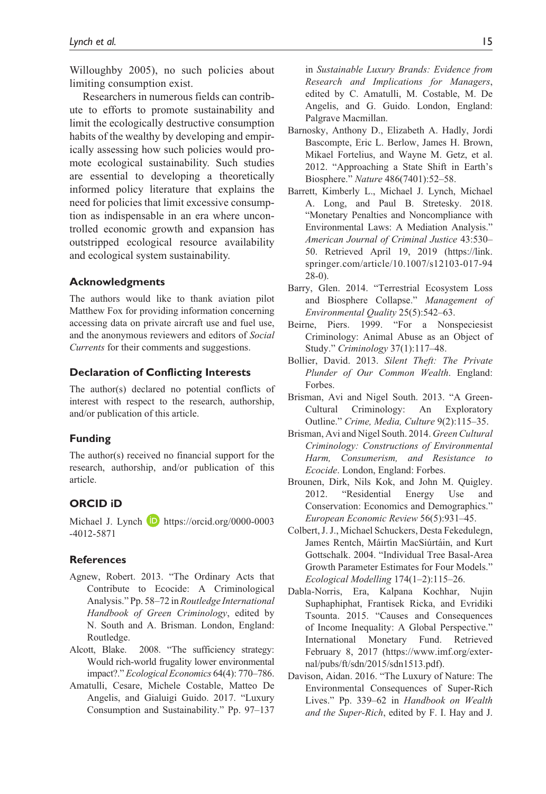Willoughby 2005), no such policies about limiting consumption exist.

Researchers in numerous fields can contribute to efforts to promote sustainability and limit the ecologically destructive consumption habits of the wealthy by developing and empirically assessing how such policies would promote ecological sustainability. Such studies are essential to developing a theoretically informed policy literature that explains the need for policies that limit excessive consumption as indispensable in an era where uncontrolled economic growth and expansion has outstripped ecological resource availability and ecological system sustainability.

### **Acknowledgments**

The authors would like to thank aviation pilot Matthew Fox for providing information concerning accessing data on private aircraft use and fuel use, and the anonymous reviewers and editors of *Social Currents* for their comments and suggestions.

#### **Declaration of Conflicting Interests**

The author(s) declared no potential conflicts of interest with respect to the research, authorship, and/or publication of this article.

#### **Funding**

The author(s) received no financial support for the research, authorship, and/or publication of this article.

### **ORCID iD**

Michael J. Lynch **D** [https://orcid.org/0000-0003](https://orcid.org/0000-0003-4012-5871) [-4012-5871](https://orcid.org/0000-0003-4012-5871)

#### **References**

- Agnew, Robert. 2013. "The Ordinary Acts that Contribute to Ecocide: A Criminological Analysis." Pp. 58–72 in *Routledge International Handbook of Green Criminology*, edited by N. South and A. Brisman. London, England: Routledge.
- Alcott, Blake. 2008. "The sufficiency strategy: Would rich-world frugality lower environmental impact?." *Ecological Economics* 64(4): 770–786.
- Amatulli, Cesare, Michele Costable, Matteo De Angelis, and Gialuigi Guido. 2017. "Luxury Consumption and Sustainability." Pp. 97–137

in *Sustainable Luxury Brands: Evidence from Research and Implications for Managers*, edited by C. Amatulli, M. Costable, M. De Angelis, and G. Guido. London, England: Palgrave Macmillan.

- Barnosky, Anthony D., Elizabeth A. Hadly, Jordi Bascompte, Eric L. Berlow, James H. Brown, Mikael Fortelius, and Wayne M. Getz, et al. 2012. "Approaching a State Shift in Earth's Biosphere." *Nature* 486(7401):52–58.
- Barrett, Kimberly L., Michael J. Lynch, Michael A. Long, and Paul B. Stretesky. 2018. "Monetary Penalties and Noncompliance with Environmental Laws: A Mediation Analysis." *American Journal of Criminal Justice* 43:530– 50. Retrieved April 19, 2019 [\(https://link.](https://link.springer.com/article/10.1007/s12103-017-9428-0)) [springer.com/article/10.1007/s12103-017-94](https://link.springer.com/article/10.1007/s12103-017-9428-0)) [28-0\)](https://link.springer.com/article/10.1007/s12103-017-9428-0)).
- Barry, Glen. 2014. "Terrestrial Ecosystem Loss and Biosphere Collapse." *Management of Environmental Quality* 25(5):542–63.
- Beirne, Piers. 1999. "For a Nonspeciesist Criminology: Animal Abuse as an Object of Study." *Criminology* 37(1):117–48.
- Bollier, David. 2013. *Silent Theft: The Private Plunder of Our Common Wealth*. England: Forbes.
- Brisman, Avi and Nigel South. 2013. "A Green-Cultural Criminology: An Exploratory Outline." *Crime, Media, Culture* 9(2):115–35.
- Brisman, Avi and Nigel South. 2014. *Green Cultural Criminology: Constructions of Environmental Harm, Consumerism, and Resistance to Ecocide*. London, England: Forbes.
- Brounen, Dirk, Nils Kok, and John M. Quigley. 2012. "Residential Energy Use and Conservation: Economics and Demographics." *European Economic Review* 56(5):931–45.
- Colbert, J. J., Michael Schuckers, Desta Fekedulegn, James Rentch, Máirtı́n MacSiúrtáin, and Kurt Gottschalk. 2004. "Individual Tree Basal-Area Growth Parameter Estimates for Four Models." *Ecological Modelling* 174(1–2):115–26.
- Dabla-Norris, Era, Kalpana Kochhar, Nujin Suphaphiphat, Frantisek Ricka, and Evridiki Tsounta. 2015. "Causes and Consequences of Income Inequality: A Global Perspective." International Monetary Fund. Retrieved February 8, 2017 [\(https://www.imf.org/exter](https://www.imf.org/external/pubs/ft/sdn/2015/sdn1513.pdf))[nal/pubs/ft/sdn/2015/sdn1513.pdf\)](https://www.imf.org/external/pubs/ft/sdn/2015/sdn1513.pdf)).
- Davison, Aidan. 2016. "The Luxury of Nature: The Environmental Consequences of Super-Rich Lives." Pp. 339–62 in *Handbook on Wealth and the Super-Rich*, edited by F. I. Hay and J.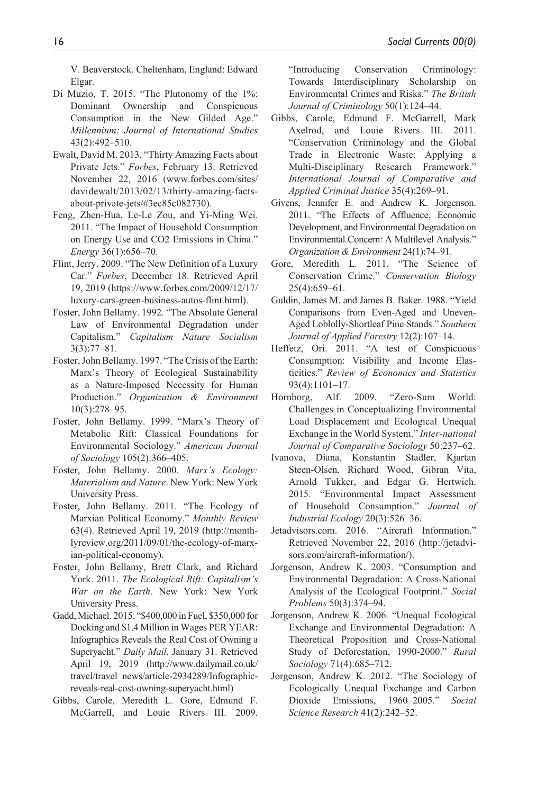V. Beaverstock. Cheltenham, England: Edward Elgar.

- Di Muzio, T. 2015. "The Plutonomy of the 1%: Dominant Ownership and Conspicuous Consumption in the New Gilded Age." *Millennium: Journal of International Studies* 43(2):492–510.
- Ewalt, David M. 2013. "Thirty Amazing Facts about Private Jets." *Forbes*, February 13. Retrieved November 22, 2016 [\(www.forbes.com/sites/](www.forbes.com/sites/davidewalt/2013/02/13/thirty-amazing-facts-about-private-jets/#3ec85c082730) [davidewalt/2013/02/13/thirty-amazing-facts](www.forbes.com/sites/davidewalt/2013/02/13/thirty-amazing-facts-about-private-jets/#3ec85c082730)[about-private-jets/#3ec85c082730\)](www.forbes.com/sites/davidewalt/2013/02/13/thirty-amazing-facts-about-private-jets/#3ec85c082730).
- Feng, Zhen-Hua, Le-Le Zou, and Yi-Ming Wei. 2011. "The Impact of Household Consumption on Energy Use and CO2 Emissions in China." *Energy* 36(1):656–70.
- Flint, Jerry. 2009. "The New Definition of a Luxury Car." *Forbes*, December 18. Retrieved April 19, 2019 ([https://www.forbes.com/2009/12/17/](https://www.forbes.com/2009/12/17/luxury-cars-green-business-autos-flint.html)) [luxury-cars-green-business-autos-flint.html\)](https://www.forbes.com/2009/12/17/luxury-cars-green-business-autos-flint.html)).
- Foster, John Bellamy. 1992. "The Absolute General Law of Environmental Degradation under Capitalism." *Capitalism Nature Socialism* 3(3):77–81.
- Foster, John Bellamy. 1997. "The Crisis of the Earth: Marx's Theory of Ecological Sustainability as a Nature-Imposed Necessity for Human Production." *Organization & Environment* 10(3):278–95.
- Foster, John Bellamy. 1999. "Marx's Theory of Metabolic Rift: Classical Foundations for Environmental Sociology." *American Journal of Sociology* 105(2):366–405.
- Foster, John Bellamy. 2000. *Marx's Ecology: Materialism and Nature*. New York: New York University Press.
- Foster, John Bellamy. 2011. "The Ecology of Marxian Political Economy." *Monthly Review* 63(4). Retrieved April 19, 2019 [\(http://month](http://monthlyreview.org/2011/09/01/the-ecology-of-marxian-political-economy))[lyreview.org/2011/09/01/the-ecology-of-marx](http://monthlyreview.org/2011/09/01/the-ecology-of-marxian-political-economy))[ian-political-economy\)](http://monthlyreview.org/2011/09/01/the-ecology-of-marxian-political-economy)).
- Foster, John Bellamy, Brett Clark, and Richard York. 2011. *The Ecological Rift: Capitalism's War on the Earth*. New York: New York University Press.
- Gadd, Michael. 2015. "\$400,000 in Fuel, \$350,000 for Docking and \$1.4 Million in Wages PER YEAR: Infographics Reveals the Real Cost of Owning a Superyacht." *Daily Mail*, January 31. Retrieved April 19, 2019 ([http://www.dailymail.co.uk/](http://www.dailymail.co.uk/travel/travel_news/article-2934289/Infographic-reveals-real-cost-owning-superyacht.html)) [travel/travel\\_news/article-2934289/Infographic](http://www.dailymail.co.uk/travel/travel_news/article-2934289/Infographic-reveals-real-cost-owning-superyacht.html))[reveals-real-cost-owning-superyacht.html\)](http://www.dailymail.co.uk/travel/travel_news/article-2934289/Infographic-reveals-real-cost-owning-superyacht.html))
- Gibbs, Carole, Meredith L. Gore, Edmund F. McGarrell, and Louie Rivers III. 2009.

"Introducing Conservation Criminology: Towards Interdisciplinary Scholarship on Environmental Crimes and Risks." *The British Journal of Criminology* 50(1):124–44.

- Gibbs, Carole, Edmund F. McGarrell, Mark Axelrod, and Louie Rivers III. 2011. "Conservation Criminology and the Global Trade in Electronic Waste: Applying a Multi-Disciplinary Research Framework." *International Journal of Comparative and Applied Criminal Justice* 35(4):269–91.
- Givens, Jennifer E. and Andrew K. Jorgenson. 2011. "The Effects of Affluence, Economic Development, and Environmental Degradation on Environmental Concern: A Multilevel Analysis." *Organization & Environment* 24(1):74–91.
- Gore, Meredith L. 2011. "The Science of Conservation Crime." *Conservation Biology* 25(4):659–61.
- Guldin, James M. and James B. Baker. 1988. "Yield Comparisons from Even-Aged and Uneven-Aged Loblolly-Shortleaf Pine Stands." *Southern Journal of Applied Forestry* 12(2):107–14.
- Heffetz, Ori. 2011. "A test of Conspicuous Consumption: Visibility and Income Elasticities." *Review of Economics and Statistics* 93(4):1101–17.
- Hornborg, Alf. 2009. "Zero-Sum World: Challenges in Conceptualizing Environmental Load Displacement and Ecological Unequal Exchange in the World System." *Inter-national Journal of Comparative Sociology* 50:237–62.
- Ivanova, Diana, Konstantin Stadler, Kjartan Steen-Olsen, Richard Wood, Gibran Vita, Arnold Tukker, and Edgar G. Hertwich. 2015. "Environmental Impact Assessment of Household Consumption." *Journal of Industrial Ecology* 20(3):526–36.
- Jetadvisors.com. 2016. "Aircraft Information." Retrieved November 22, 2016 ([http://jetadvi](http://jetadvisors.com/aircraft-information/))[sors.com/aircraft-information/\).](http://jetadvisors.com/aircraft-information/))
- Jorgenson, Andrew K. 2003. "Consumption and Environmental Degradation: A Cross-National Analysis of the Ecological Footprint." *Social Problems* 50(3):374–94.
- Jorgenson, Andrew K. 2006. "Unequal Ecological Exchange and Environmental Degradation: A Theoretical Proposition and Cross-National Study of Deforestation, 1990-2000." *Rural Sociology* 71(4):685–712.
- Jorgenson, Andrew K. 2012. "The Sociology of Ecologically Unequal Exchange and Carbon Dioxide Emissions, 1960–2005." *Social Science Research* 41(2):242–52.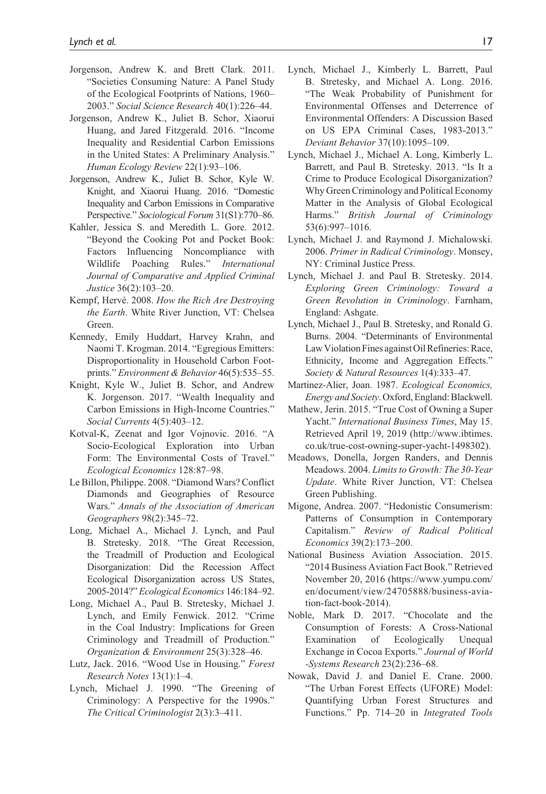- Jorgenson, Andrew K. and Brett Clark. 2011. "Societies Consuming Nature: A Panel Study of the Ecological Footprints of Nations, 1960– 2003." *Social Science Research* 40(1):226–44.
- Jorgenson, Andrew K., Juliet B. Schor, Xiaorui Huang, and Jared Fitzgerald. 2016. "Income Inequality and Residential Carbon Emissions in the United States: A Preliminary Analysis." *Human Ecology Review* 22(1):93–106.
- Jorgenson, Andrew K., Juliet B. Schor, Kyle W. Knight, and Xiaorui Huang. 2016. "Domestic Inequality and Carbon Emissions in Comparative Perspective." *Sociological Forum* 31(S1):770–86.
- Kahler, Jessica S. and Meredith L. Gore. 2012. "Beyond the Cooking Pot and Pocket Book: Factors Influencing Noncompliance with Wildlife Poaching Rules." *International Journal of Comparative and Applied Criminal Justice* 36(2):103–20.
- Kempf, Hervé. 2008. *How the Rich Are Destroying the Earth*. White River Junction, VT: Chelsea Green.
- Kennedy, Emily Huddart, Harvey Krahn, and Naomi T. Krogman. 2014. "Egregious Emitters: Disproportionality in Household Carbon Footprints." *Environment & Behavior* 46(5):535–55.
- Knight, Kyle W., Juliet B. Schor, and Andrew K. Jorgenson. 2017. "Wealth Inequality and Carbon Emissions in High-Income Countries." *Social Currents* 4(5):403–12.
- Kotval-K, Zeenat and Igor Vojnovic. 2016. "A Socio-Ecological Exploration into Urban Form: The Environmental Costs of Travel." *Ecological Economics* 128:87–98.
- Le Billon, Philippe. 2008. "Diamond Wars? Conflict Diamonds and Geographies of Resource Wars." *Annals of the Association of American Geographers* 98(2):345–72.
- Long, Michael A., Michael J. Lynch, and Paul B. Stretesky. 2018. "The Great Recession, the Treadmill of Production and Ecological Disorganization: Did the Recession Affect Ecological Disorganization across US States, 2005-2014?" *Ecological Economics* 146:184–92.
- Long, Michael A., Paul B. Stretesky, Michael J. Lynch, and Emily Fenwick. 2012. "Crime in the Coal Industry: Implications for Green Criminology and Treadmill of Production." *Organization & Environment* 25(3):328–46.
- Lutz, Jack. 2016. "Wood Use in Housing." *Forest Research Notes* 13(1):1–4.
- Lynch, Michael J. 1990. "The Greening of Criminology: A Perspective for the 1990s." *The Critical Criminologist* 2(3):3–411.
- Lynch, Michael J., Kimberly L. Barrett, Paul B. Stretesky, and Michael A. Long. 2016. "The Weak Probability of Punishment for Environmental Offenses and Deterrence of Environmental Offenders: A Discussion Based on US EPA Criminal Cases, 1983-2013." *Deviant Behavior* 37(10):1095–109.
- Lynch, Michael J., Michael A. Long, Kimberly L. Barrett, and Paul B. Stretesky. 2013. "Is It a Crime to Produce Ecological Disorganization? Why Green Criminology and Political Economy Matter in the Analysis of Global Ecological Harms." *British Journal of Criminology* 53(6):997–1016.
- Lynch, Michael J. and Raymond J. Michalowski. 2006. *Primer in Radical Criminology*. Monsey, NY: Criminal Justice Press.
- Lynch, Michael J. and Paul B. Stretesky. 2014. *Exploring Green Criminology: Toward a Green Revolution in Criminology*. Farnham, England: Ashgate.
- Lynch, Michael J., Paul B. Stretesky, and Ronald G. Burns. 2004. "Determinants of Environmental Law Violation Fines against Oil Refineries: Race, Ethnicity, Income and Aggregation Effects." *Society & Natural Resources* 1(4):333–47.
- Martinez-Alier, Joan. 1987. *Ecological Economics, Energy and Society*. Oxford, England: Blackwell.
- Mathew, Jerin. 2015. "True Cost of Owning a Super Yacht." *International Business Times*, May 15. Retrieved April 19, 2019 ([http://www.ibtimes.](http://www.ibtimes.co.uk/true-cost-owning-super-yacht-1498302)) [co.uk/true-cost-owning-super-yacht-1498302\)](http://www.ibtimes.co.uk/true-cost-owning-super-yacht-1498302)).
- Meadows, Donella, Jorgen Randers, and Dennis Meadows. 2004. *Limits to Growth: The 30-Year Update*. White River Junction, VT: Chelsea Green Publishing.
- Migone, Andrea. 2007. "Hedonistic Consumerism: Patterns of Consumption in Contemporary Capitalism." *Review of Radical Political Economics* 39(2):173–200.
- National Business Aviation Association. 2015. "2014 Business Aviation Fact Book." Retrieved November 20, 2016 ([https://www.yumpu.com/](https://www.yumpu.com/en/document/view/24705888/business-aviation-fact-book-2014) [en/document/view/24705888/business-avia](https://www.yumpu.com/en/document/view/24705888/business-aviation-fact-book-2014)[tion-fact-book-2014](https://www.yumpu.com/en/document/view/24705888/business-aviation-fact-book-2014)).
- Noble, Mark D. 2017. "Chocolate and the Consumption of Forests: A Cross-National Examination of Ecologically Unequal Exchange in Cocoa Exports." *Journal of World -Systems Research* 23(2):236–68.
- Nowak, David J. and Daniel E. Crane. 2000. "The Urban Forest Effects (UFORE) Model: Quantifying Urban Forest Structures and Functions." Pp. 714–20 in *Integrated Tools*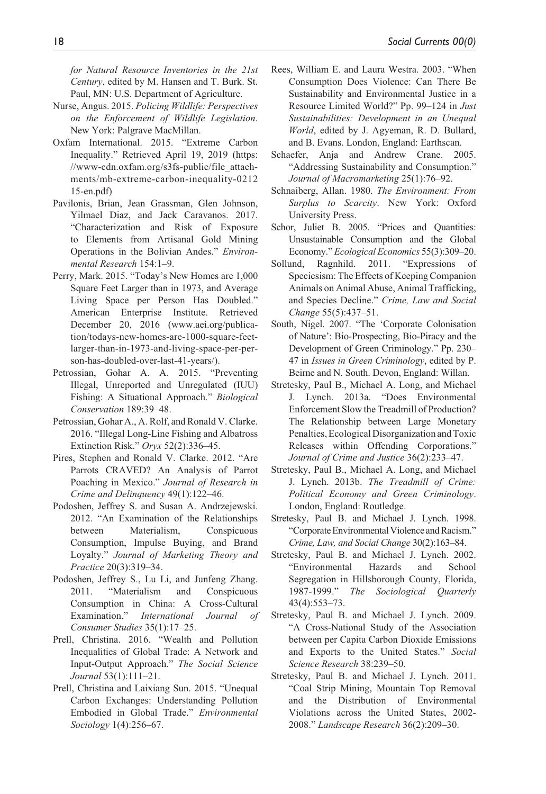*for Natural Resource Inventories in the 21st Century*, edited by M. Hansen and T. Burk. St. Paul, MN: U.S. Department of Agriculture.

- Nurse, Angus. 2015. *Policing Wildlife: Perspectives on the Enforcement of Wildlife Legislation*. New York: Palgrave MacMillan.
- Oxfam International. 2015. "Extreme Carbon Inequality." Retrieved April 19, 2019 ([https:](https://www-cdn.oxfam.org/s3fs-public/file_attachments/mb-extreme-carbon-inequality-021215-en.pdf)) [//www-cdn.oxfam.org/s3fs-public/file\\_attach](https://www-cdn.oxfam.org/s3fs-public/file_attachments/mb-extreme-carbon-inequality-021215-en.pdf))[ments/mb-extreme-carbon-inequality-0212](https://www-cdn.oxfam.org/s3fs-public/file_attachments/mb-extreme-carbon-inequality-021215-en.pdf)) [15-en.pdf\)](https://www-cdn.oxfam.org/s3fs-public/file_attachments/mb-extreme-carbon-inequality-021215-en.pdf))
- Pavilonis, Brian, Jean Grassman, Glen Johnson, Yilmael Diaz, and Jack Caravanos. 2017. "Characterization and Risk of Exposure to Elements from Artisanal Gold Mining Operations in the Bolivian Andes." *Environmental Research* 154:1–9.
- Perry, Mark. 2015. "Today's New Homes are 1,000 Square Feet Larger than in 1973, and Average Living Space per Person Has Doubled." American Enterprise Institute. Retrieved December 20, 2016 ([www.aei.org/publica](www.aei.org/publication/todays-new-homes-are-1000-square-feet-larger-than-in-1973-and-living-space-per-person-has-doubled-over-last-41-years/)[tion/todays-new-homes-are-1000-square-feet](www.aei.org/publication/todays-new-homes-are-1000-square-feet-larger-than-in-1973-and-living-space-per-person-has-doubled-over-last-41-years/)[larger-than-in-1973-and-living-space-per-per](www.aei.org/publication/todays-new-homes-are-1000-square-feet-larger-than-in-1973-and-living-space-per-person-has-doubled-over-last-41-years/)[son-has-doubled-over-last-41-years/](www.aei.org/publication/todays-new-homes-are-1000-square-feet-larger-than-in-1973-and-living-space-per-person-has-doubled-over-last-41-years/)).
- Petrossian, Gohar A. A. 2015. "Preventing Illegal, Unreported and Unregulated (IUU) Fishing: A Situational Approach." *Biological Conservation* 189:39–48.
- Petrossian, Gohar A., A. Rolf, and Ronald V. Clarke. 2016. "Illegal Long-Line Fishing and Albatross Extinction Risk." *Oryx* 52(2):336–45.
- Pires, Stephen and Ronald V. Clarke. 2012. "Are Parrots CRAVED? An Analysis of Parrot Poaching in Mexico." *Journal of Research in Crime and Delinquency* 49(1):122–46.
- Podoshen, Jeffrey S. and Susan A. Andrzejewski. 2012. "An Examination of the Relationships between Materialism, Conspicuous Consumption, Impulse Buying, and Brand Loyalty." *Journal of Marketing Theory and Practice* 20(3):319–34.
- Podoshen, Jeffrey S., Lu Li, and Junfeng Zhang. 2011. "Materialism and Conspicuous Consumption in China: A Cross-Cultural Examination." *International Journal of Consumer Studies* 35(1):17–25.
- Prell, Christina. 2016. "Wealth and Pollution Inequalities of Global Trade: A Network and Input-Output Approach." *The Social Science Journal* 53(1):111–21.
- Prell, Christina and Laixiang Sun. 2015. "Unequal Carbon Exchanges: Understanding Pollution Embodied in Global Trade." *Environmental Sociology* 1(4):256–67.
- Rees, William E. and Laura Westra. 2003. "When Consumption Does Violence: Can There Be Sustainability and Environmental Justice in a Resource Limited World?" Pp. 99–124 in *Just Sustainabilities: Development in an Unequal World*, edited by J. Agyeman, R. D. Bullard, and B. Evans. London, England: Earthscan.
- Schaefer, Anja and Andrew Crane. 2005. "Addressing Sustainability and Consumption." *Journal of Macromarketing* 25(1):76–92.
- Schnaiberg, Allan. 1980. *The Environment: From Surplus to Scarcity*. New York: Oxford University Press.
- Schor, Juliet B. 2005. "Prices and Quantities: Unsustainable Consumption and the Global Economy." *Ecological Economics* 55(3):309–20.
- Sollund, Ragnhild. 2011. "Expressions of Speciesism: The Effects of Keeping Companion Animals on Animal Abuse, Animal Trafficking, and Species Decline." *Crime, Law and Social Change* 55(5):437–51.
- South, Nigel. 2007. "The 'Corporate Colonisation of Nature': Bio-Prospecting, Bio-Piracy and the Development of Green Criminology." Pp. 230– 47 in *Issues in Green Criminology*, edited by P. Beirne and N. South. Devon, England: Willan.
- Stretesky, Paul B., Michael A. Long, and Michael J. Lynch. 2013a. "Does Environmental Enforcement Slow the Treadmill of Production? The Relationship between Large Monetary Penalties, Ecological Disorganization and Toxic Releases within Offending Corporations." *Journal of Crime and Justice* 36(2):233–47.
- Stretesky, Paul B., Michael A. Long, and Michael J. Lynch. 2013b. *The Treadmill of Crime: Political Economy and Green Criminology*. London, England: Routledge.
- Stretesky, Paul B. and Michael J. Lynch. 1998. "Corporate Environmental Violence and Racism." *Crime, Law, and Social Change* 30(2):163–84.
- Stretesky, Paul B. and Michael J. Lynch. 2002. "Environmental Hazards and School Segregation in Hillsborough County, Florida, 1987-1999." *The Sociological Quarterly* 43(4):553–73.
- Stretesky, Paul B. and Michael J. Lynch. 2009. "A Cross-National Study of the Association between per Capita Carbon Dioxide Emissions and Exports to the United States." *Social Science Research* 38:239–50.
- Stretesky, Paul B. and Michael J. Lynch. 2011. "Coal Strip Mining, Mountain Top Removal and the Distribution of Environmental Violations across the United States, 2002- 2008." *Landscape Research* 36(2):209–30.